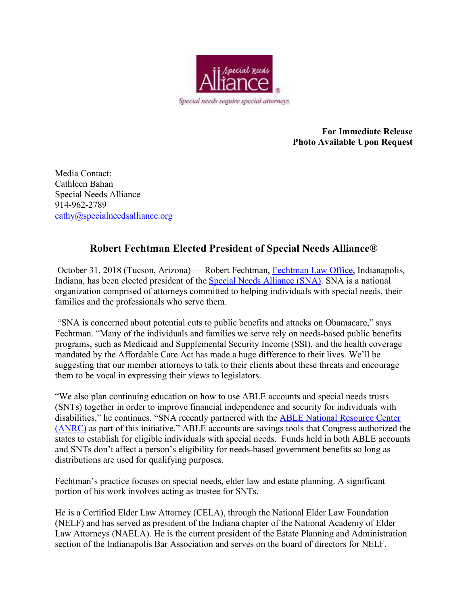

**For Immediate Release Photo Available Upon Request** 

Media Contact: Cathleen Bahan Special Needs Alliance 914-962-2789 cathy@specialneedsalliance.org

## **Robert Fechtman Elected President of Special Needs Alliance®**

 October 31, 2018 (Tucson, Arizona) — Robert Fechtman, Fechtman Law Office, Indianapolis, Indiana, has been elected president of the Special Needs Alliance (SNA). SNA is a national organization comprised of attorneys committed to helping individuals with special needs, their families and the professionals who serve them.

 "SNA is concerned about potential cuts to public benefits and attacks on Obamacare," says Fechtman. "Many of the individuals and families we serve rely on needs-based public benefits programs, such as Medicaid and Supplemental Security Income (SSI), and the health coverage mandated by the Affordable Care Act has made a huge difference to their lives. We'll be suggesting that our member attorneys to talk to their clients about these threats and encourage them to be vocal in expressing their views to legislators.

"We also plan continuing education on how to use ABLE accounts and special needs trusts (SNTs) together in order to improve financial independence and security for individuals with disabilities," he continues. "SNA recently partnered with the ABLE National Resource Center (ANRC) as part of this initiative." ABLE accounts are savings tools that Congress authorized the states to establish for eligible individuals with special needs. Funds held in both ABLE accounts and SNTs don't affect a person's eligibility for needs-based government benefits so long as distributions are used for qualifying purposes.

Fechtman's practice focuses on special needs, elder law and estate planning. A significant portion of his work involves acting as trustee for SNTs.

He is a Certified Elder Law Attorney (CELA), through the National Elder Law Foundation (NELF) and has served as president of the Indiana chapter of the National Academy of Elder Law Attorneys (NAELA). He is the current president of the Estate Planning and Administration section of the Indianapolis Bar Association and serves on the board of directors for NELF.